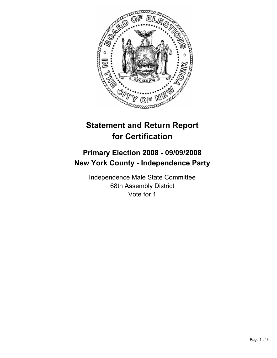

## **Statement and Return Report for Certification**

## **Primary Election 2008 - 09/09/2008 New York County - Independence Party**

Independence Male State Committee 68th Assembly District Vote for 1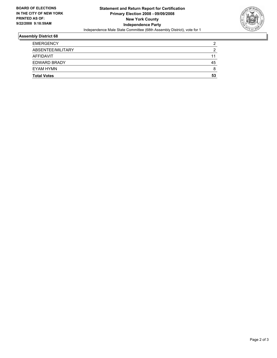

## **Assembly District 68**

| <b>EMERGENCY</b>   | c  |
|--------------------|----|
| ABSENTEE/MILITARY  |    |
| AFFIDAVIT          | 11 |
| EDWARD BRADY       | 45 |
| EYAM HYMN          |    |
| <b>Total Votes</b> | 53 |